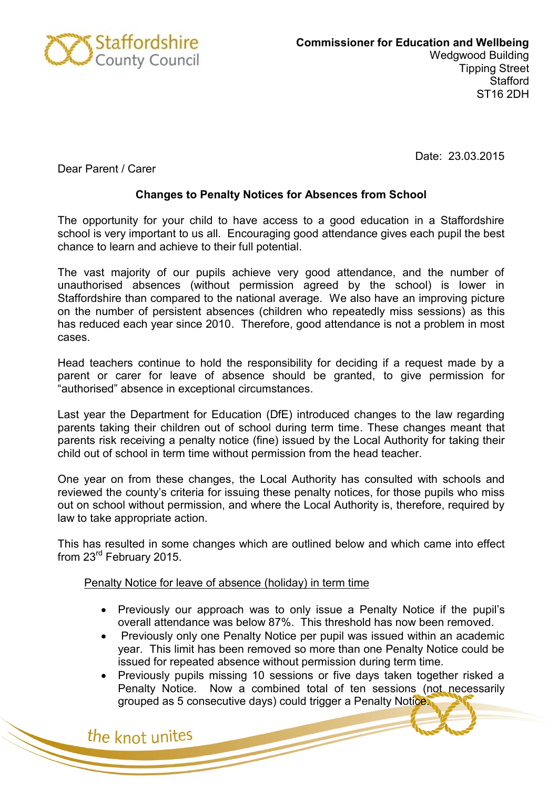

Date: 23.03.2015

Dear Parent / Carer

## **Changes to Penalty Notices for Absences from School**

The opportunity for your child to have access to a good education in a Staffordshire school is very important to us all. Encouraging good attendance gives each pupil the best chance to learn and achieve to their full potential.

The vast majority of our pupils achieve very good attendance, and the number of unauthorised absences (without permission agreed by the school) is lower in Staffordshire than compared to the national average. We also have an improving picture on the number of persistent absences (children who repeatedly miss sessions) as this has reduced each year since 2010. Therefore, good attendance is not a problem in most cases.

Head teachers continue to hold the responsibility for deciding if a request made by a parent or carer for leave of absence should be granted, to give permission for "authorised" absence in exceptional circumstances.

Last year the Department for Education (DfE) introduced changes to the law regarding parents taking their children out of school during term time. These changes meant that parents risk receiving a penalty notice (fine) issued by the Local Authority for taking their child out of school in term time without permission from the head teacher.

One year on from these changes, the Local Authority has consulted with schools and reviewed the county's criteria for issuing these penalty notices, for those pupils who miss out on school without permission, and where the Local Authority is, therefore, required by law to take appropriate action.

This has resulted in some changes which are outlined below and which came into effect from 23rd February 2015.

## Penalty Notice for leave of absence (holiday) in term time

- Previously our approach was to only issue a Penalty Notice if the pupil's overall attendance was below 87%. This threshold has now been removed.
- Previously only one Penalty Notice per pupil was issued within an academic year. This limit has been removed so more than one Penalty Notice could be issued for repeated absence without permission during term time.
- Previously pupils missing 10 sessions or five days taken together risked a Penalty Notice. Now a combined total of ten sessions (not necessarily grouped as 5 consecutive days) could trigger a Penalty Notice.

the knot unites